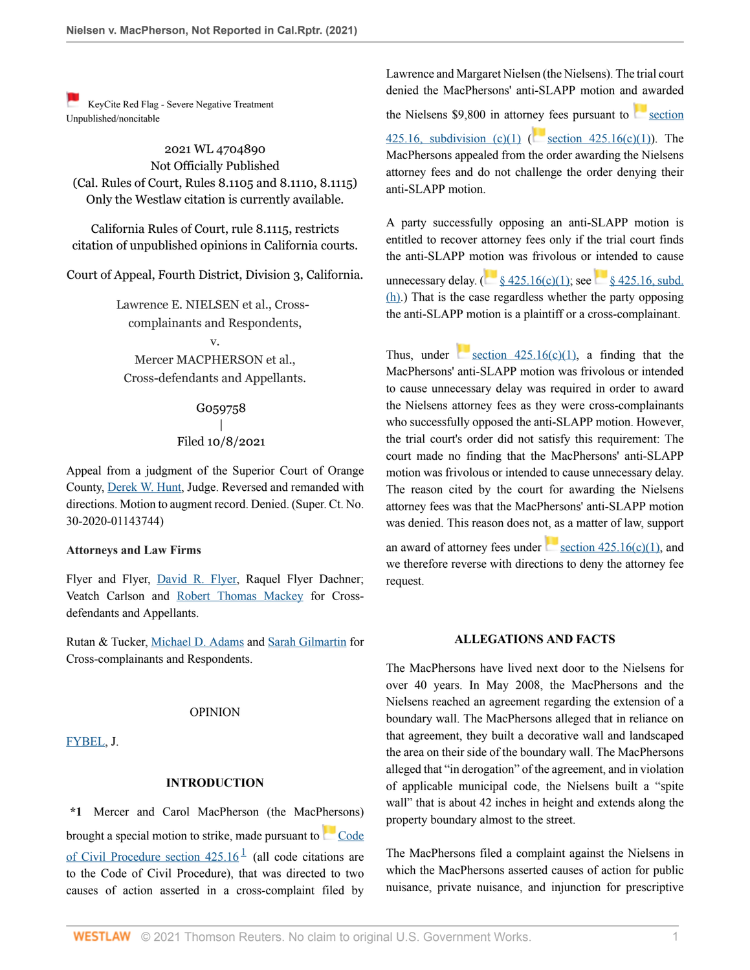[K](https://1.next.westlaw.com/Link/RelatedInformation/Flag?transitionType=Document&originationContext=docHeaderFlag&Rank=0&ppcid=8faae0c83a834770a23b0b43fba5c46e&contextData=(sc.Default) )eyCite Red Flag - Severe Negative Treatment Unpublished/noncitable

2021 WL 4704890 Not Officially Published (Cal. Rules of Court, Rules 8.1105 and 8.1110, 8.1115) Only the Westlaw citation is currently available.

California Rules of Court, rule 8.1115, restricts citation of unpublished opinions in California courts.

Court of Appeal, Fourth District, Division 3, California.

Lawrence E. NIELSEN et al., Crosscomplainants and Respondents,

v. Mercer MACPHERSON et al., Cross-defendants and Appellants.

# G059758 | Filed 10/8/2021

Appeal from a judgment of the Superior Court of Orange County, [Derek W. Hunt,](http://www.westlaw.com/Link/Document/FullText?findType=h&pubNum=176284&cite=0194046001&originatingDoc=Ibdaad6c0289911ec92b2ac1d0acb6802&refType=RQ&originationContext=document&vr=3.0&rs=cblt1.0&transitionType=DocumentItem&contextData=(sc.Default)) Judge. Reversed and remanded with directions. Motion to augment record. Denied. (Super. Ct. No. 30-2020-01143744)

### **Attorneys and Law Firms**

Flyer and Flyer, [David R. Flyer](http://www.westlaw.com/Link/Document/FullText?findType=h&pubNum=176284&cite=0121323701&originatingDoc=Ibdaad6c0289911ec92b2ac1d0acb6802&refType=RQ&originationContext=document&vr=3.0&rs=cblt1.0&transitionType=DocumentItem&contextData=(sc.Default)), Raquel Flyer Dachner; Veatch Carlson and [Robert Thomas Mackey](http://www.westlaw.com/Link/Document/FullText?findType=h&pubNum=176284&cite=0362441701&originatingDoc=Ibdaad6c0289911ec92b2ac1d0acb6802&refType=RQ&originationContext=document&vr=3.0&rs=cblt1.0&transitionType=DocumentItem&contextData=(sc.Default)) for Crossdefendants and Appellants.

Rutan & Tucker, [Michael D. Adams](http://www.westlaw.com/Link/Document/FullText?findType=h&pubNum=176284&cite=0139879301&originatingDoc=Ibdaad6c0289911ec92b2ac1d0acb6802&refType=RQ&originationContext=document&vr=3.0&rs=cblt1.0&transitionType=DocumentItem&contextData=(sc.Default)) and [Sarah Gilmartin](http://www.westlaw.com/Link/Document/FullText?findType=h&pubNum=176284&cite=0518447401&originatingDoc=Ibdaad6c0289911ec92b2ac1d0acb6802&refType=RQ&originationContext=document&vr=3.0&rs=cblt1.0&transitionType=DocumentItem&contextData=(sc.Default)) for Cross-complainants and Respondents.

#### OPINION

[FYBEL,](http://www.westlaw.com/Link/Document/FullText?findType=h&pubNum=176284&cite=0205099201&originatingDoc=Ibdaad6c0289911ec92b2ac1d0acb6802&refType=RQ&originationContext=document&vr=3.0&rs=cblt1.0&transitionType=DocumentItem&contextData=(sc.Default)) J.

### <span id="page-0-0"></span>**INTRODUCTION**

**\*1** Mercer and Carol MacPherson (the MacPhersons) broughta special motion to strike, made pursuant to [Code](http://www.westlaw.com/Link/Document/FullText?findType=L&pubNum=1000201&cite=CACPS425.16&originatingDoc=Ibdaad6c0289911ec92b2ac1d0acb6802&refType=LQ&originationContext=document&vr=3.0&rs=cblt1.0&transitionType=DocumentItem&contextData=(sc.Default)) of Civil Procedure section  $425.16<sup>1</sup>$  $425.16<sup>1</sup>$  $425.16<sup>1</sup>$  (all code citations are to the Code of Civil Procedure), that was directed to two causes of action asserted in a cross-complaint filed by Lawrence and Margaret Nielsen (the Nielsens). The trial court denied the MacPhersons' anti-SLAPP motion and awarded

the Nielsens  $$9,800$  in attor[ney](https://1.next.westlaw.com/Link/RelatedInformation/Flag?documentGuid=N12B5B0C03C6811E4829FE2D1BDD30C78&transitionType=InlineKeyCiteFlags&originationContext=docHeaderFlag&Rank=0&ppcid=8faae0c83a834770a23b0b43fba5c46e&contextData=(sc.Default) ) fees pursuant to [section](http://www.westlaw.com/Link/Document/FullText?findType=L&pubNum=1000201&cite=CACPS425.16&originatingDoc=Ibdaad6c0289911ec92b2ac1d0acb6802&refType=SP&originationContext=document&vr=3.0&rs=cblt1.0&transitionType=DocumentItem&contextData=(sc.Default)#co_pp_10c0000001331)

[425.16, subdivision \(c\)\(1\)](http://www.westlaw.com/Link/Document/FullText?findType=L&pubNum=1000201&cite=CACPS425.16&originatingDoc=Ibdaad6c0289911ec92b2ac1d0acb6802&refType=SP&originationContext=document&vr=3.0&rs=cblt1.0&transitionType=DocumentItem&contextData=(sc.Default)#co_pp_10c0000001331) ( [section 425.16\(c\)\(1\)](http://www.westlaw.com/Link/Document/FullText?findType=L&pubNum=1000201&cite=CACPS425.16&originatingDoc=Ibdaad6c0289911ec92b2ac1d0acb6802&refType=SP&originationContext=document&vr=3.0&rs=cblt1.0&transitionType=DocumentItem&contextData=(sc.Default)#co_pp_10c0000001331)). The MacPhersons appealed from the order awarding the Nielsens attorney fees and do not challenge the order denying their anti-SLAPP motion.

A party successfully opposing an anti-SLAPP motion is entitled to recover attorney fees only if the trial court finds the anti-SLAPP m[otion](https://1.next.westlaw.com/Link/RelatedInformation/Flag?documentGuid=N12B5B0C03C6811E4829FE2D1BDD30C78&transitionType=InlineKeyCiteFlags&originationContext=docHeaderFlag&Rank=0&ppcid=8faae0c83a834770a23b0b43fba5c46e&contextData=(sc.Default) ) was frivolous or intended to cause

unnecessarydelay. ( $\frac{8425.16(c)(1)}{8425.16}$  \text{8 425.16, subd. [\(h\).](http://www.westlaw.com/Link/Document/FullText?findType=L&pubNum=1000201&cite=CACPS425.16&originatingDoc=Ibdaad6c0289911ec92b2ac1d0acb6802&refType=SP&originationContext=document&vr=3.0&rs=cblt1.0&transitionType=DocumentItem&contextData=(sc.Default)#co_pp_f383000077b35)) That is the case regardless whether the party opposing the anti-SLAPP motion is a plaintiff or a cross-complainant.

Thus, under section  $425.16(c)(1)$ , a finding that the MacPhersons' anti-SLAPP motion was frivolous or intended to cause unnecessary delay was required in order to award the Nielsens attorney fees as they were cross-complainants who successfully opposed the anti-SLAPP motion. However, the trial court's order did not satisfy this requirement: The court made no finding that the MacPhersons' anti-SLAPP motion was frivolous or intended to cause unnecessary delay. The reason cited by the court for awarding the Nielsens attorney fees was that the MacPhersons' anti-SLAPP motion was denied. This reason does not, as a matter of law, support an award of attorney fees under section  $425.16(c)(1)$ , and we therefore reverse with directions to deny the attorney fee request.

### **ALLEGATIONS AND FACTS**

The MacPhersons have lived next door to the Nielsens for over 40 years. In May 2008, the MacPhersons and the Nielsens reached an agreement regarding the extension of a boundary wall. The MacPhersons alleged that in reliance on that agreement, they built a decorative wall and landscaped the area on their side of the boundary wall. The MacPhersons alleged that "in derogation" of the agreement, and in violation of applicable municipal code, the Nielsens built a "spite wall" that is about 42 inches in height and extends along the property boundary almost to the street.

The MacPhersons filed a complaint against the Nielsens in which the MacPhersons asserted causes of action for public nuisance, private nuisance, and injunction for prescriptive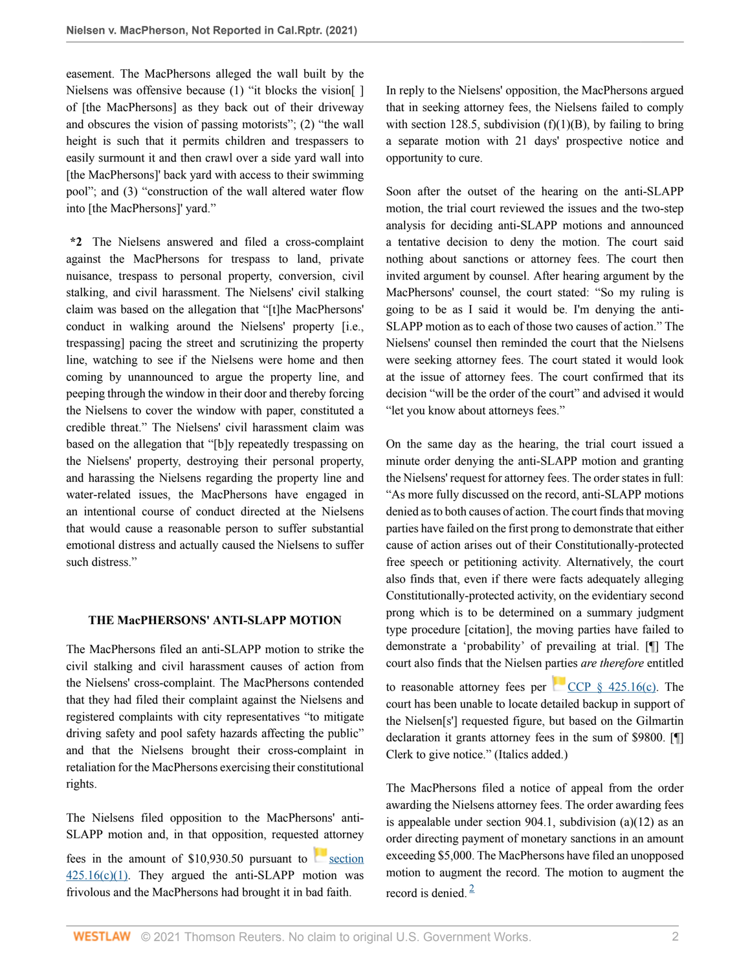easement. The MacPhersons alleged the wall built by the Nielsens was offensive because (1) "it blocks the vision[] of [the MacPhersons] as they back out of their driveway and obscures the vision of passing motorists"; (2) "the wall height is such that it permits children and trespassers to easily surmount it and then crawl over a side yard wall into [the MacPhersons]' back yard with access to their swimming pool"; and (3) "construction of the wall altered water flow into [the MacPhersons]' yard."

**\*2** The Nielsens answered and filed a cross-complaint against the MacPhersons for trespass to land, private nuisance, trespass to personal property, conversion, civil stalking, and civil harassment. The Nielsens' civil stalking claim was based on the allegation that "[t]he MacPhersons' conduct in walking around the Nielsens' property [i.e., trespassing] pacing the street and scrutinizing the property line, watching to see if the Nielsens were home and then coming by unannounced to argue the property line, and peeping through the window in their door and thereby forcing the Nielsens to cover the window with paper, constituted a credible threat." The Nielsens' civil harassment claim was based on the allegation that "[b]y repeatedly trespassing on the Nielsens' property, destroying their personal property, and harassing the Nielsens regarding the property line and water-related issues, the MacPhersons have engaged in an intentional course of conduct directed at the Nielsens that would cause a reasonable person to suffer substantial emotional distress and actually caused the Nielsens to suffer such distress."

## **THE MacPHERSONS' ANTI-SLAPP MOTION**

The MacPhersons filed an anti-SLAPP motion to strike the civil stalking and civil harassment causes of action from the Nielsens' cross-complaint. The MacPhersons contended that they had filed their complaint against the Nielsens and registered complaints with city representatives "to mitigate driving safety and pool safety hazards affecting the public" and that the Nielsens brought their cross-complaint in retaliation for the MacPhersons exercising their constitutional rights.

The Nielsens filed opposition to the MacPhersons' anti-SLAPP motion and, in that opposition, requested attorney

fees in the amount of  $$10,930.50$  pursuant to [section](http://www.westlaw.com/Link/Document/FullText?findType=L&pubNum=1000201&cite=CACPS425.16&originatingDoc=Ibdaad6c0289911ec92b2ac1d0acb6802&refType=SP&originationContext=document&vr=3.0&rs=cblt1.0&transitionType=DocumentItem&contextData=(sc.Default)#co_pp_10c0000001331)  $425.16(c)(1)$ . They argued the anti-SLAPP motion was frivolous and the MacPhersons had brought it in bad faith.

In reply to the Nielsens' opposition, the MacPhersons argued that in seeking attorney fees, the Nielsens failed to comply with section 128.5, subdivision  $(f)(1)(B)$ , by failing to bring a separate motion with 21 days' prospective notice and opportunity to cure.

Soon after the outset of the hearing on the anti-SLAPP motion, the trial court reviewed the issues and the two-step analysis for deciding anti-SLAPP motions and announced a tentative decision to deny the motion. The court said nothing about sanctions or attorney fees. The court then invited argument by counsel. After hearing argument by the MacPhersons' counsel, the court stated: "So my ruling is going to be as I said it would be. I'm denying the anti-SLAPP motion as to each of those two causes of action." The Nielsens' counsel then reminded the court that the Nielsens were seeking attorney fees. The court stated it would look at the issue of attorney fees. The court confirmed that its decision "will be the order of the court" and advised it would "let you know about attorneys fees."

On the same day as the hearing, the trial court issued a minute order denying the anti-SLAPP motion and granting the Nielsens' request for attorney fees. The order states in full: "As more fully discussed on the record, anti-SLAPP motions denied as to both causes of action. The court finds that moving parties have failed on the first prong to demonstrate that either cause of action arises out of their Constitutionally-protected free speech or petitioning activity. Alternatively, the court also finds that, even if there were facts adequately alleging Constitutionally-protected activity, on the evidentiary second prong which is to be determined on a summary judgment type procedure [citation], the moving parties have failed to demonstrate a 'probability' of prevailing at trial. [¶] The court also finds that the Nielsen parties *are therefore* entitled to reasonable attorney fees per CCP  $\S$  425.16(c). The court has been unable to locate detailed backup in support of the Nielsen[s'] requested figure, but based on the Gilmartin declaration it grants attorney fees in the sum of \$9800. [¶] Clerk to give notice." (Italics added.)

<span id="page-1-0"></span>The MacPhersons filed a notice of appeal from the order awarding the Nielsens attorney fees. The order awarding fees is appealable under section 904.1, subdivision (a)(12) as an order directing payment of monetary sanctions in an amount exceeding \$5,000. The MacPhersons have filed an unopposed motion to augment the record. The motion to augment the record is denied.  $\frac{2}{3}$  $\frac{2}{3}$  $\frac{2}{3}$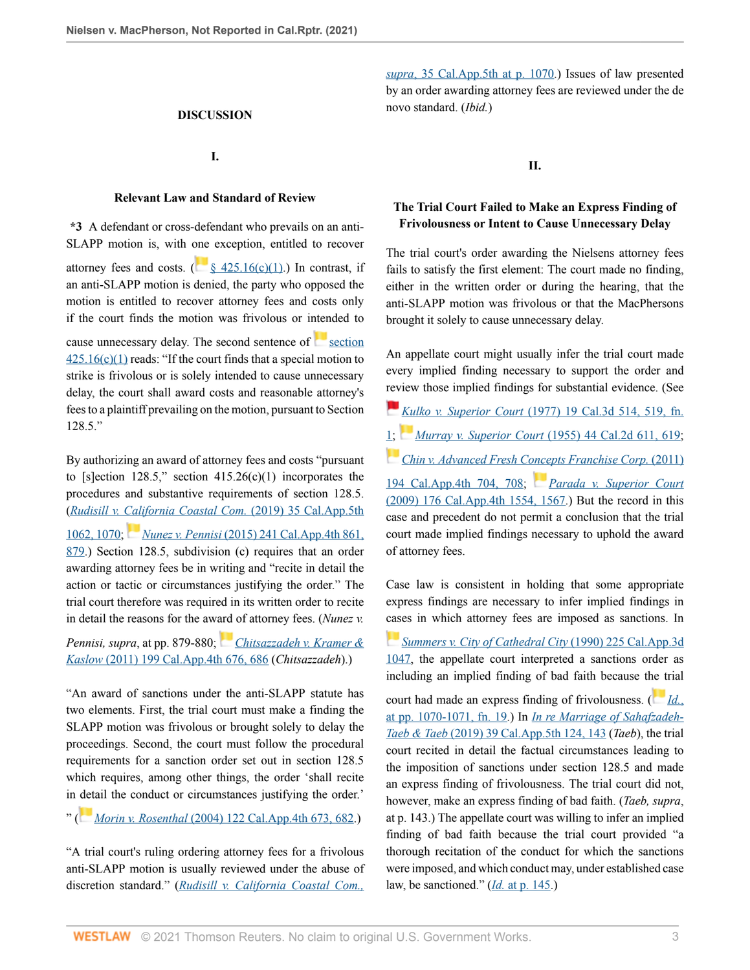### **DISCUSSION**

# **I.**

#### **Relevant Law and Standard of Review**

**\*3** A defendant or cross-defendant who prevails on an anti-SLAPP motion is, with [one](https://1.next.westlaw.com/Link/RelatedInformation/Flag?documentGuid=N12B5B0C03C6811E4829FE2D1BDD30C78&transitionType=InlineKeyCiteFlags&originationContext=docHeaderFlag&Rank=0&ppcid=8faae0c83a834770a23b0b43fba5c46e&contextData=(sc.Default) ) exception, entitled to recover attorney fees and costs. ( $\frac{8}{425.16(c)(1)}$ ) In contrast, if an anti-SLAPP motion is denied, the party who opposed the motion is entitled to recover attorney fees and costs only if the court finds the motion was frivolous or intended to

cause unnecessary delay. The second sentence of  $\sim$  [section](http://www.westlaw.com/Link/Document/FullText?findType=L&pubNum=1000201&cite=CACPS425.16&originatingDoc=Ibdaad6c0289911ec92b2ac1d0acb6802&refType=SP&originationContext=document&vr=3.0&rs=cblt1.0&transitionType=DocumentItem&contextData=(sc.Default)#co_pp_10c0000001331)  $425.16(c)(1)$  reads: "If the court finds that a special motion to strike is frivolous or is solely intended to cause unnecessary delay, the court shall award costs and reasonable attorney's fees to a plaintiff prevailing on the motion, pursuant to Section 128.5."

By authorizing an award of attorney fees and costs "pursuant to [s]ection 128.5," section  $415.26(c)(1)$  incorporates the procedures and substantive requirements of section 128.5. (*[Rudisill v. California Coastal Com.](http://www.westlaw.com/Link/Document/FullText?findType=Y&serNum=2048419223&pubNum=0007053&originatingDoc=Ibdaad6c0289911ec92b2ac1d0acb6802&refType=RP&fi=co_pp_sp_7053_1070&originationContext=document&vr=3.0&rs=cblt1.0&transitionType=DocumentItem&contextData=(sc.Default)#co_pp_sp_7053_1070)* (2019) 35 Cal.App.5th [1062, 1070](http://www.westlaw.com/Link/Document/FullText?findType=Y&serNum=2048419223&pubNum=0007053&originatingDoc=Ibdaad6c0289911ec92b2ac1d0acb6802&refType=RP&fi=co_pp_sp_7053_1070&originationContext=document&vr=3.0&rs=cblt1.0&transitionType=DocumentItem&contextData=(sc.Default)#co_pp_sp_7053_1070); *Nunez v. Pennisi* [\(2015\) 241 Cal.App.4th 861,](http://www.westlaw.com/Link/Document/FullText?findType=Y&serNum=2037466084&pubNum=0004041&originatingDoc=Ibdaad6c0289911ec92b2ac1d0acb6802&refType=RP&fi=co_pp_sp_4041_879&originationContext=document&vr=3.0&rs=cblt1.0&transitionType=DocumentItem&contextData=(sc.Default)#co_pp_sp_4041_879) [879](http://www.westlaw.com/Link/Document/FullText?findType=Y&serNum=2037466084&pubNum=0004041&originatingDoc=Ibdaad6c0289911ec92b2ac1d0acb6802&refType=RP&fi=co_pp_sp_4041_879&originationContext=document&vr=3.0&rs=cblt1.0&transitionType=DocumentItem&contextData=(sc.Default)#co_pp_sp_4041_879).) Section 128.5, subdivision (c) requires that an order awarding attorney fees be in writing and "recite in detail the action or tactic or circumstances justifying the order." The trial court therefore was required in its written order to recite in detail the reasons for the aw[ard](https://1.next.westlaw.com/Link/RelatedInformation/Flag?documentGuid=I11aaa117e92d11e0bc27967e57e99458&transitionType=InlineKeyCiteFlags&originationContext=docHeaderFlag&Rank=0&ppcid=8faae0c83a834770a23b0b43fba5c46e&contextData=(sc.Default) ) of attorney fees. (*Nunez v.*

*Pennisi, supra*, at pp. 879-880; *[Chitsazzadeh v. Kramer &](http://www.westlaw.com/Link/Document/FullText?findType=Y&serNum=2026221797&pubNum=0004041&originatingDoc=Ibdaad6c0289911ec92b2ac1d0acb6802&refType=RP&fi=co_pp_sp_4041_686&originationContext=document&vr=3.0&rs=cblt1.0&transitionType=DocumentItem&contextData=(sc.Default)#co_pp_sp_4041_686) Kaslow* [\(2011\) 199 Cal.App.4th 676, 686](http://www.westlaw.com/Link/Document/FullText?findType=Y&serNum=2026221797&pubNum=0004041&originatingDoc=Ibdaad6c0289911ec92b2ac1d0acb6802&refType=RP&fi=co_pp_sp_4041_686&originationContext=document&vr=3.0&rs=cblt1.0&transitionType=DocumentItem&contextData=(sc.Default)#co_pp_sp_4041_686) (*Chitsazzadeh*).)

"An award of sanctions under the anti-SLAPP statute has two elements. First, the trial court must make a finding the SLAPP motion was frivolous or brought solely to delay the proceedings. Second, the court must follow the procedural requirements for a sanction order set out in section 128.5 which requires, among other things, the order 'shall recite in [det](https://1.next.westlaw.com/Link/RelatedInformation/Flag?documentGuid=I7ca88b22fa6d11d9b386b232635db992&transitionType=InlineKeyCiteFlags&originationContext=docHeaderFlag&Rank=0&ppcid=8faae0c83a834770a23b0b43fba5c46e&contextData=(sc.Default) )ail the conduct or circumstances justifying the order.'

" ( *Morin v. Rosenthal* [\(2004\) 122 Cal.App.4th 673, 682.](http://www.westlaw.com/Link/Document/FullText?findType=Y&serNum=2005129637&pubNum=0004041&originatingDoc=Ibdaad6c0289911ec92b2ac1d0acb6802&refType=RP&fi=co_pp_sp_4041_682&originationContext=document&vr=3.0&rs=cblt1.0&transitionType=DocumentItem&contextData=(sc.Default)#co_pp_sp_4041_682))

"A trial court's ruling ordering attorney fees for a frivolous anti-SLAPP motion is usually reviewed under the abuse of discretion standard." (*[Rudisill v. California Coastal Com.,](http://www.westlaw.com/Link/Document/FullText?findType=Y&serNum=2048419223&pubNum=0007053&originatingDoc=Ibdaad6c0289911ec92b2ac1d0acb6802&refType=RP&fi=co_pp_sp_7053_1070&originationContext=document&vr=3.0&rs=cblt1.0&transitionType=DocumentItem&contextData=(sc.Default)#co_pp_sp_7053_1070)*

*supra*[, 35 Cal.App.5th at p. 1070](http://www.westlaw.com/Link/Document/FullText?findType=Y&serNum=2048419223&pubNum=0007053&originatingDoc=Ibdaad6c0289911ec92b2ac1d0acb6802&refType=RP&fi=co_pp_sp_7053_1070&originationContext=document&vr=3.0&rs=cblt1.0&transitionType=DocumentItem&contextData=(sc.Default)#co_pp_sp_7053_1070).) Issues of law presented by an order awarding attorney fees are reviewed under the de novo standard. (*Ibid.*)

**II.**

## **The Trial Court Failed to Make an Express Finding of Frivolousness or Intent to Cause Unnecessary Delay**

The trial court's order awarding the Nielsens attorney fees fails to satisfy the first element: The court made no finding, either in the written order or during the hearing, that the anti-SLAPP motion was frivolous or that the MacPhersons brought it solely to cause unnecessary delay.

An appellate court might usually infer the trial court made every implied finding necessary to support the order and [revi](https://1.next.westlaw.com/Link/RelatedInformation/Flag?documentGuid=I38836c7afad711d9b386b232635db992&transitionType=InlineKeyCiteFlags&originationContext=docHeaderFlag&Rank=0&ppcid=8faae0c83a834770a23b0b43fba5c46e&contextData=(sc.Default) )ew those implied findings for substantial evidence. (See

- *[Ku](https://1.next.westlaw.com/Link/RelatedInformation/Flag?documentGuid=I69702598facc11d98ac8f235252e36df&transitionType=InlineKeyCiteFlags&originationContext=docHeaderFlag&Rank=0&ppcid=8faae0c83a834770a23b0b43fba5c46e&contextData=(sc.Default) )lko v. Superior Court* [\(1977\) 19 Cal.3d 514, 519, fn.](http://www.westlaw.com/Link/Document/FullText?findType=Y&serNum=1977112763&pubNum=0000233&originatingDoc=Ibdaad6c0289911ec92b2ac1d0acb6802&refType=RP&fi=co_pp_sp_233_519&originationContext=document&vr=3.0&rs=cblt1.0&transitionType=DocumentItem&contextData=(sc.Default)#co_pp_sp_233_519)
- [1](http://www.westlaw.com/Link/Document/FullText?findType=Y&serNum=1977112763&pubNum=0000233&originatingDoc=Ibdaad6c0289911ec92b2ac1d0acb6802&refType=RP&fi=co_pp_sp_233_519&originationContext=document&vr=3.0&rs=cblt1.0&transitionType=DocumentItem&contextData=(sc.Default)#co_pp_sp_233_519)[;](https://1.next.westlaw.com/Link/RelatedInformation/Flag?documentGuid=Id46c8fdb6bfc11e089b3e4fa6356f33d&transitionType=InlineKeyCiteFlags&originationContext=docHeaderFlag&Rank=0&ppcid=8faae0c83a834770a23b0b43fba5c46e&contextData=(sc.Default) ) *Murray v. Superior Court* [\(1955\) 44 Cal.2d 611, 619](http://www.westlaw.com/Link/Document/FullText?findType=Y&serNum=1955113660&pubNum=0000231&originatingDoc=Ibdaad6c0289911ec92b2ac1d0acb6802&refType=RP&fi=co_pp_sp_231_619&originationContext=document&vr=3.0&rs=cblt1.0&transitionType=DocumentItem&contextData=(sc.Default)#co_pp_sp_231_619);
- *[Chin v. Advanced Fresh Concepts Franchise Corp.](http://www.westlaw.com/Link/Document/FullText?findType=Y&serNum=2025134046&pubNum=0004041&originatingDoc=Ibdaad6c0289911ec92b2ac1d0acb6802&refType=RP&fi=co_pp_sp_4041_708&originationContext=document&vr=3.0&rs=cblt1.0&transitionType=DocumentItem&contextData=(sc.Default)#co_pp_sp_4041_708)* (2011)

[194 Cal.App.4th 704, 708](http://www.westlaw.com/Link/Document/FullText?findType=Y&serNum=2025134046&pubNum=0004041&originatingDoc=Ibdaad6c0289911ec92b2ac1d0acb6802&refType=RP&fi=co_pp_sp_4041_708&originationContext=document&vr=3.0&rs=cblt1.0&transitionType=DocumentItem&contextData=(sc.Default)#co_pp_sp_4041_708); *[Parada v. Superior Court](http://www.westlaw.com/Link/Document/FullText?findType=Y&serNum=2019679401&pubNum=0004041&originatingDoc=Ibdaad6c0289911ec92b2ac1d0acb6802&refType=RP&fi=co_pp_sp_4041_1567&originationContext=document&vr=3.0&rs=cblt1.0&transitionType=DocumentItem&contextData=(sc.Default)#co_pp_sp_4041_1567)* [\(2009\) 176 Cal.App.4th 1554, 1567](http://www.westlaw.com/Link/Document/FullText?findType=Y&serNum=2019679401&pubNum=0004041&originatingDoc=Ibdaad6c0289911ec92b2ac1d0acb6802&refType=RP&fi=co_pp_sp_4041_1567&originationContext=document&vr=3.0&rs=cblt1.0&transitionType=DocumentItem&contextData=(sc.Default)#co_pp_sp_4041_1567).) But the record in this case and precedent do not permit a conclusion that the trial court made implied findings necessary to uphold the award of attorney fees.

Case law is consistent in holding that some appropriate express findings are necessary to infer implied findings in [case](https://1.next.westlaw.com/Link/RelatedInformation/Flag?documentGuid=I7f5af290fabd11d9bf60c1d57ebc853e&transitionType=InlineKeyCiteFlags&originationContext=docHeaderFlag&Rank=0&ppcid=8faae0c83a834770a23b0b43fba5c46e&contextData=(sc.Default) )s in which attorney fees are imposed as sanctions. In

*[Summers v. City of Cathedral City](http://www.westlaw.com/Link/Document/FullText?findType=Y&serNum=1990169788&pubNum=0000226&originatingDoc=Ibdaad6c0289911ec92b2ac1d0acb6802&refType=RP&originationContext=document&vr=3.0&rs=cblt1.0&transitionType=DocumentItem&contextData=(sc.Default))* (1990) 225 Cal.App.3d [1047](http://www.westlaw.com/Link/Document/FullText?findType=Y&serNum=1990169788&pubNum=0000226&originatingDoc=Ibdaad6c0289911ec92b2ac1d0acb6802&refType=RP&originationContext=document&vr=3.0&rs=cblt1.0&transitionType=DocumentItem&contextData=(sc.Default)), the appellate court interpreted a sanctions order as including an implied finding of bad faith because t[he tr](https://1.next.westlaw.com/Link/RelatedInformation/Flag?documentGuid=I7f5af290fabd11d9bf60c1d57ebc853e&transitionType=InlineKeyCiteFlags&originationContext=docHeaderFlag&Rank=0&ppcid=8faae0c83a834770a23b0b43fba5c46e&contextData=(sc.Default) )ial

court had made an express finding of frivolousness. ( *[Id.](http://www.westlaw.com/Link/Document/FullText?findType=Y&serNum=1990169788&pubNum=0000226&originatingDoc=Ibdaad6c0289911ec92b2ac1d0acb6802&refType=RP&fi=co_pp_sp_226_1070&originationContext=document&vr=3.0&rs=cblt1.0&transitionType=DocumentItem&contextData=(sc.Default)#co_pp_sp_226_1070)*, [at pp. 1070-1071, fn. 19.](http://www.westlaw.com/Link/Document/FullText?findType=Y&serNum=1990169788&pubNum=0000226&originatingDoc=Ibdaad6c0289911ec92b2ac1d0acb6802&refType=RP&fi=co_pp_sp_226_1070&originationContext=document&vr=3.0&rs=cblt1.0&transitionType=DocumentItem&contextData=(sc.Default)#co_pp_sp_226_1070)) In *[In re Marriage of Sahafzadeh-](http://www.westlaw.com/Link/Document/FullText?findType=Y&serNum=2048976809&pubNum=0007053&originatingDoc=Ibdaad6c0289911ec92b2ac1d0acb6802&refType=RP&fi=co_pp_sp_7053_143&originationContext=document&vr=3.0&rs=cblt1.0&transitionType=DocumentItem&contextData=(sc.Default)#co_pp_sp_7053_143)Taeb & Taeb* [\(2019\) 39 Cal.App.5th 124, 143](http://www.westlaw.com/Link/Document/FullText?findType=Y&serNum=2048976809&pubNum=0007053&originatingDoc=Ibdaad6c0289911ec92b2ac1d0acb6802&refType=RP&fi=co_pp_sp_7053_143&originationContext=document&vr=3.0&rs=cblt1.0&transitionType=DocumentItem&contextData=(sc.Default)#co_pp_sp_7053_143) (*Taeb*), the trial court recited in detail the factual circumstances leading to the imposition of sanctions under section 128.5 and made an express finding of frivolousness. The trial court did not, however, make an express finding of bad faith. (*Taeb, supra*, at p. 143.) The appellate court was willing to infer an implied finding of bad faith because the trial court provided "a thorough recitation of the conduct for which the sanctions were imposed, and which conduct may, under established case law, be sanctioned." (*Id.* [at p. 145](http://www.westlaw.com/Link/Document/FullText?findType=Y&serNum=2048976809&pubNum=0007053&originatingDoc=Ibdaad6c0289911ec92b2ac1d0acb6802&refType=RP&fi=co_pp_sp_7053_145&originationContext=document&vr=3.0&rs=cblt1.0&transitionType=DocumentItem&contextData=(sc.Default)#co_pp_sp_7053_145).)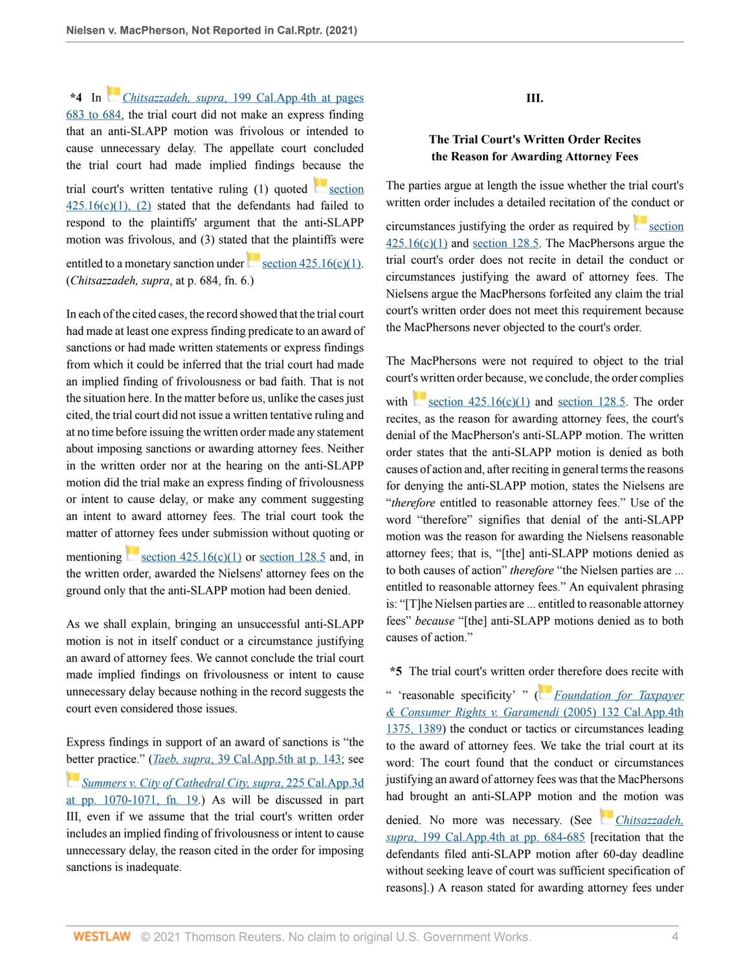**\*4** In *[C](https://1.next.westlaw.com/Link/RelatedInformation/Flag?documentGuid=I11aaa117e92d11e0bc27967e57e99458&transitionType=InlineKeyCiteFlags&originationContext=docHeaderFlag&Rank=0&ppcid=8faae0c83a834770a23b0b43fba5c46e&contextData=(sc.Default) )hitsazzadeh, supra*[, 199 Cal.App.4th at pages](http://www.westlaw.com/Link/Document/FullText?findType=Y&serNum=2026221797&pubNum=0004041&originatingDoc=Ibdaad6c0289911ec92b2ac1d0acb6802&refType=RP&fi=co_pp_sp_4041_683&originationContext=document&vr=3.0&rs=cblt1.0&transitionType=DocumentItem&contextData=(sc.Default)#co_pp_sp_4041_683) [683 to 684,](http://www.westlaw.com/Link/Document/FullText?findType=Y&serNum=2026221797&pubNum=0004041&originatingDoc=Ibdaad6c0289911ec92b2ac1d0acb6802&refType=RP&fi=co_pp_sp_4041_683&originationContext=document&vr=3.0&rs=cblt1.0&transitionType=DocumentItem&contextData=(sc.Default)#co_pp_sp_4041_683) the trial court did not make an express finding that an anti-SLAPP motion was frivolous or intended to cause unnecessary delay. The appellate court concluded the trial court had made implied findings because the trial court's written tentative ruling  $(1)$  quoted [section](http://www.westlaw.com/Link/Document/FullText?findType=L&pubNum=1000201&cite=CACPS425.16&originatingDoc=Ibdaad6c0289911ec92b2ac1d0acb6802&refType=SP&originationContext=document&vr=3.0&rs=cblt1.0&transitionType=DocumentItem&contextData=(sc.Default)#co_pp_10c0000001331)  $425.16(c)(1)$ , (2) stated that the defendants had failed to respond to the plaintiffs' argument that the anti-SLAPP motion was frivolous, and (3) stated that the plaintiffs were entitledto a monetary sanction under section  $425.16(c)(1)$ . (*Chitsazzadeh, supra*, at p. 684, fn. 6.)

In each of the cited cases, the record showed that the trial court had made at least one express finding predicate to an award of sanctions or had made written statements or express findings from which it could be inferred that the trial court had made an implied finding of frivolousness or bad faith. That is not the situation here. In the matter before us, unlike the cases just cited, the trial court did not issue a written tentative ruling and at no time before issuing the written order made any statement about imposing sanctions or awarding attorney fees. Neither in the written order nor at the hearing on the anti-SLAPP motion did the trial make an express finding of frivolousness or intent to cause delay, or make any comment suggesting an intent to award attorney fees. The trial court took the matter of attorney fees under submission without quoting or mentioning section  $425.16(c)(1)$  or [section 128.5](http://www.westlaw.com/Link/Document/FullText?findType=L&pubNum=1000201&cite=CACPS128.5&originatingDoc=Ibdaad6c0289911ec92b2ac1d0acb6802&refType=LQ&originationContext=document&vr=3.0&rs=cblt1.0&transitionType=DocumentItem&contextData=(sc.Default)) and, in the written order, awarded the Nielsens' attorney fees on the ground only that the anti-SLAPP motion had been denied.

As we shall explain, bringing an unsuccessful anti-SLAPP motion is not in itself conduct or a circumstance justifying an award of attorney fees. We cannot conclude the trial court made implied findings on frivolousness or intent to cause unnecessary delay because nothing in the record suggests the court even considered those issues.

Express findings in support of an award of sanctions is "the [bett](https://1.next.westlaw.com/Link/RelatedInformation/Flag?documentGuid=I7f5af290fabd11d9bf60c1d57ebc853e&transitionType=InlineKeyCiteFlags&originationContext=docHeaderFlag&Rank=0&ppcid=8faae0c83a834770a23b0b43fba5c46e&contextData=(sc.Default) )er practice." (*Taeb, supra*[, 39 Cal.App.5th at p. 143](http://www.westlaw.com/Link/Document/FullText?findType=Y&serNum=2048976809&pubNum=0007053&originatingDoc=Ibdaad6c0289911ec92b2ac1d0acb6802&refType=RP&fi=co_pp_sp_7053_143&originationContext=document&vr=3.0&rs=cblt1.0&transitionType=DocumentItem&contextData=(sc.Default)#co_pp_sp_7053_143); see *[Summers v. City of Cathedral City, supra](http://www.westlaw.com/Link/Document/FullText?findType=Y&serNum=1990169788&pubNum=0000226&originatingDoc=Ibdaad6c0289911ec92b2ac1d0acb6802&refType=RP&fi=co_pp_sp_226_1070&originationContext=document&vr=3.0&rs=cblt1.0&transitionType=DocumentItem&contextData=(sc.Default)#co_pp_sp_226_1070)*, 225 Cal.App.3d at pp.  $1070-1071$ , fn.  $19$ .) As will be discussed in part III, even if we assume that the trial court's written order includes an implied finding of frivolousness or intent to cause unnecessary delay, the reason cited in the order for imposing sanctions is inadequate.

**III.**

## **The Trial Court's Written Order Recites the Reason for Awarding Attorney Fees**

The parties argue at length the issue whether the trial court's written order includes a detailed recitation of the conduct or

circumstances justifying the order as required by  $\sim$  [section](http://www.westlaw.com/Link/Document/FullText?findType=L&pubNum=1000201&cite=CACPS425.16&originatingDoc=Ibdaad6c0289911ec92b2ac1d0acb6802&refType=SP&originationContext=document&vr=3.0&rs=cblt1.0&transitionType=DocumentItem&contextData=(sc.Default)#co_pp_10c0000001331)  $425.16(c)(1)$  and [section 128.5.](http://www.westlaw.com/Link/Document/FullText?findType=L&pubNum=1000201&cite=CACPS128.5&originatingDoc=Ibdaad6c0289911ec92b2ac1d0acb6802&refType=LQ&originationContext=document&vr=3.0&rs=cblt1.0&transitionType=DocumentItem&contextData=(sc.Default)) The MacPhersons argue the trial court's order does not recite in detail the conduct or circumstances justifying the award of attorney fees. The Nielsens argue the MacPhersons forfeited any claim the trial court's written order does not meet this requirement because the MacPhersons never objected to the court's order.

The MacPhersons were not required to object to the trial court's written order because, we conclude, the order complies

with section  $425.16(c)(1)$  and [section 128.5](http://www.westlaw.com/Link/Document/FullText?findType=L&pubNum=1000201&cite=CACPS128.5&originatingDoc=Ibdaad6c0289911ec92b2ac1d0acb6802&refType=LQ&originationContext=document&vr=3.0&rs=cblt1.0&transitionType=DocumentItem&contextData=(sc.Default)). The order recites, as the reason for awarding attorney fees, the court's denial of the MacPherson's anti-SLAPP motion. The written order states that the anti-SLAPP motion is denied as both causes of action and, after reciting in general terms the reasons for denying the anti-SLAPP motion, states the Nielsens are "*therefore* entitled to reasonable attorney fees." Use of the word "therefore" signifies that denial of the anti-SLAPP motion was the reason for awarding the Nielsens reasonable attorney fees; that is, "[the] anti-SLAPP motions denied as to both causes of action" *therefore* "the Nielsen parties are ... entitled to reasonable attorney fees." An equivalent phrasing is: "[T]he Nielsen parties are ... entitled to reasonable attorney fees" *because* "[the] anti-SLAPP motions denied as to both causes of action."

**\*5** The trial court's written o[rder](https://1.next.westlaw.com/Link/RelatedInformation/Flag?documentGuid=Ib60776b92fa611daaea49302b5f61a35&transitionType=InlineKeyCiteFlags&originationContext=docHeaderFlag&Rank=0&ppcid=8faae0c83a834770a23b0b43fba5c46e&contextData=(sc.Default) ) therefore does recite with

" 'reasonable specificity' " ( *[Foundation for Taxpayer](http://www.westlaw.com/Link/Document/FullText?findType=Y&serNum=2007379301&pubNum=0004041&originatingDoc=Ibdaad6c0289911ec92b2ac1d0acb6802&refType=RP&fi=co_pp_sp_4041_1389&originationContext=document&vr=3.0&rs=cblt1.0&transitionType=DocumentItem&contextData=(sc.Default)#co_pp_sp_4041_1389) [& Consumer Rights v. Garamendi](http://www.westlaw.com/Link/Document/FullText?findType=Y&serNum=2007379301&pubNum=0004041&originatingDoc=Ibdaad6c0289911ec92b2ac1d0acb6802&refType=RP&fi=co_pp_sp_4041_1389&originationContext=document&vr=3.0&rs=cblt1.0&transitionType=DocumentItem&contextData=(sc.Default)#co_pp_sp_4041_1389)* (2005) 132 Cal.App.4th [1375, 1389\)](http://www.westlaw.com/Link/Document/FullText?findType=Y&serNum=2007379301&pubNum=0004041&originatingDoc=Ibdaad6c0289911ec92b2ac1d0acb6802&refType=RP&fi=co_pp_sp_4041_1389&originationContext=document&vr=3.0&rs=cblt1.0&transitionType=DocumentItem&contextData=(sc.Default)#co_pp_sp_4041_1389) the conduct or tactics or circumstances leading to the award of attorney fees. We take the trial court at its word: The court found that the conduct or circumstances justifying an award of attorney fees was that the MacPhersons had brought an anti-SLAPP motion and [the](https://1.next.westlaw.com/Link/RelatedInformation/Flag?documentGuid=I11aaa117e92d11e0bc27967e57e99458&transitionType=InlineKeyCiteFlags&originationContext=docHeaderFlag&Rank=0&ppcid=8faae0c83a834770a23b0b43fba5c46e&contextData=(sc.Default) ) motion was

denied. No more was necessary. (See *[Chitsazzadeh,](http://www.westlaw.com/Link/Document/FullText?findType=Y&serNum=2026221797&pubNum=0004041&originatingDoc=Ibdaad6c0289911ec92b2ac1d0acb6802&refType=RP&fi=co_pp_sp_4041_684&originationContext=document&vr=3.0&rs=cblt1.0&transitionType=DocumentItem&contextData=(sc.Default)#co_pp_sp_4041_684) supra*[, 199 Cal.App.4th at pp. 684-685](http://www.westlaw.com/Link/Document/FullText?findType=Y&serNum=2026221797&pubNum=0004041&originatingDoc=Ibdaad6c0289911ec92b2ac1d0acb6802&refType=RP&fi=co_pp_sp_4041_684&originationContext=document&vr=3.0&rs=cblt1.0&transitionType=DocumentItem&contextData=(sc.Default)#co_pp_sp_4041_684) [recitation that the defendants filed anti-SLAPP motion after 60-day deadline without seeking leave of court was sufficient specification of reasons].) A reason stated for awarding attorney fees under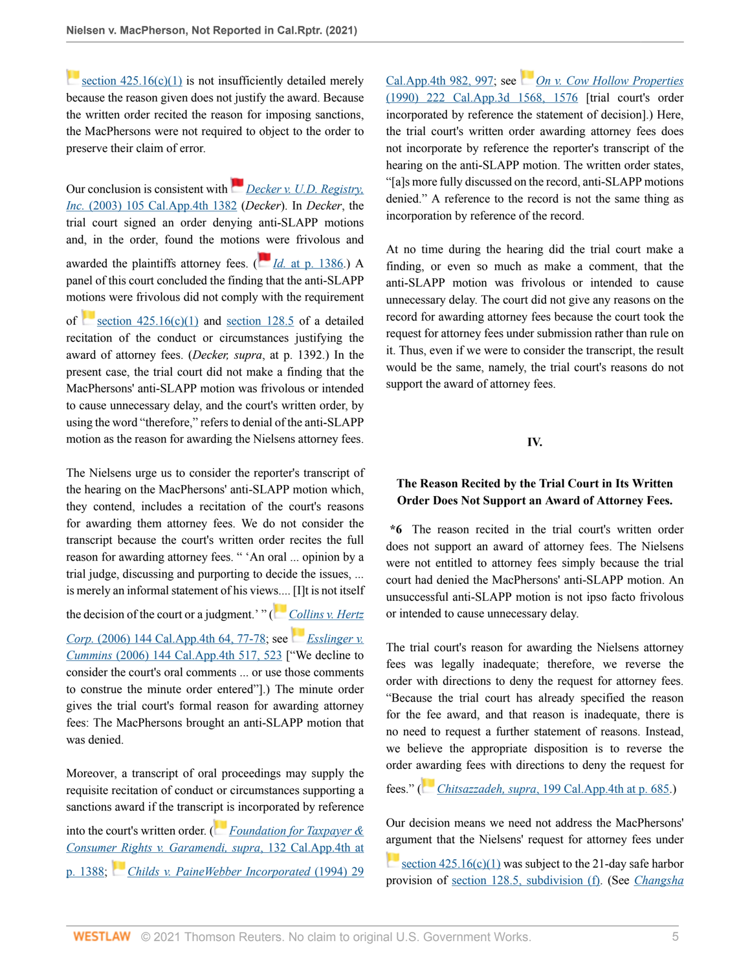section  $425.16(c)(1)$  is not insufficiently detailed merely because the reason given does not justify the award. Because the written order recited the reason for imposing sanctions, the MacPhersons were not required to object to the order to preserve their claim of error.

Our conclusion is consistent with*[Decker v. U.D. Registry,](http://www.westlaw.com/Link/Document/FullText?findType=Y&serNum=2003128465&pubNum=0004041&originatingDoc=Ibdaad6c0289911ec92b2ac1d0acb6802&refType=RP&originationContext=document&vr=3.0&rs=cblt1.0&transitionType=DocumentItem&contextData=(sc.Default)) Inc.* [\(2003\) 105 Cal.App.4th 1382](http://www.westlaw.com/Link/Document/FullText?findType=Y&serNum=2003128465&pubNum=0004041&originatingDoc=Ibdaad6c0289911ec92b2ac1d0acb6802&refType=RP&originationContext=document&vr=3.0&rs=cblt1.0&transitionType=DocumentItem&contextData=(sc.Default)) (*Decker*). In *Decker*, the trial court signed an order denying anti-SLAPP motions and, in the order, found the motion[s w](https://1.next.westlaw.com/Link/RelatedInformation/Flag?documentGuid=I6364387ffab411d983e7e9deff98dc6f&transitionType=InlineKeyCiteFlags&originationContext=docHeaderFlag&Rank=0&ppcid=8faae0c83a834770a23b0b43fba5c46e&contextData=(sc.Default) )ere frivolous and awarded the plaintiffs attorney fees. ( $\frac{Id}{Id}$  [at p. 1386](http://www.westlaw.com/Link/Document/FullText?findType=Y&serNum=2003128465&pubNum=0004041&originatingDoc=Ibdaad6c0289911ec92b2ac1d0acb6802&refType=RP&fi=co_pp_sp_4041_1386&originationContext=document&vr=3.0&rs=cblt1.0&transitionType=DocumentItem&contextData=(sc.Default)#co_pp_sp_4041_1386).) A panel of this court concluded the finding that the anti-SLAPP motions were frivolous did not comply with the requirement of section  $425.16(c)(1)$  and [section 128.5](http://www.westlaw.com/Link/Document/FullText?findType=L&pubNum=1000201&cite=CACPS128.5&originatingDoc=Ibdaad6c0289911ec92b2ac1d0acb6802&refType=LQ&originationContext=document&vr=3.0&rs=cblt1.0&transitionType=DocumentItem&contextData=(sc.Default)) of a detailed recitation of the conduct or circumstances justifying the award of attorney fees. (*Decker, supra*, at p. 1392.) In the present case, the trial court did not make a finding that the MacPhersons' anti-SLAPP motion was frivolous or intended to cause unnecessary delay, and the court's written order, by using the word "therefore," refers to denial of the anti-SLAPP motion as the reason for awarding the Nielsens attorney fees.

The Nielsens urge us to consider the reporter's transcript of the hearing on the MacPhersons' anti-SLAPP motion which, they contend, includes a recitation of the court's reasons for awarding them attorney fees. We do not consider the transcript because the court's written order recites the full reason for awarding attorney fees. " 'An oral ... opinion by a trial judge, discussing and purporting to decide the issues, ... is merely an informal statement of his vie[ws....](https://1.next.westlaw.com/Link/RelatedInformation/Flag?documentGuid=I4a459111582c11dbb381a049c832f3c9&transitionType=InlineKeyCiteFlags&originationContext=docHeaderFlag&Rank=0&ppcid=8faae0c83a834770a23b0b43fba5c46e&contextData=(sc.Default) ) [I]t is not itself the decision of the court or a judgment.' " ( *[Collins v. Hertz](http://www.westlaw.com/Link/Document/FullText?findType=Y&serNum=2010433416&pubNum=0004041&originatingDoc=Ibdaad6c0289911ec92b2ac1d0acb6802&refType=RP&fi=co_pp_sp_4041_77&originationContext=document&vr=3.0&rs=cblt1.0&transitionType=DocumentItem&contextData=(sc.Default)#co_pp_sp_4041_77) Corp.* [\(2006\) 144 Cal.App.4th 64, 77-78;](http://www.westlaw.com/Link/Document/FullText?findType=Y&serNum=2010433416&pubNum=0004041&originatingDoc=Ibdaad6c0289911ec92b2ac1d0acb6802&refType=RP&fi=co_pp_sp_4041_77&originationContext=document&vr=3.0&rs=cblt1.0&transitionType=DocumentItem&contextData=(sc.Default)#co_pp_sp_4041_77) see *[Esslinger v.](http://www.westlaw.com/Link/Document/FullText?findType=Y&serNum=2010555611&pubNum=0004041&originatingDoc=Ibdaad6c0289911ec92b2ac1d0acb6802&refType=RP&fi=co_pp_sp_4041_523&originationContext=document&vr=3.0&rs=cblt1.0&transitionType=DocumentItem&contextData=(sc.Default)#co_pp_sp_4041_523) Cummins* [\(2006\) 144 Cal.App.4th 517, 523](http://www.westlaw.com/Link/Document/FullText?findType=Y&serNum=2010555611&pubNum=0004041&originatingDoc=Ibdaad6c0289911ec92b2ac1d0acb6802&refType=RP&fi=co_pp_sp_4041_523&originationContext=document&vr=3.0&rs=cblt1.0&transitionType=DocumentItem&contextData=(sc.Default)#co_pp_sp_4041_523) ["We decline to consider the court's oral comments ... or use those comments to construe the minute order entered"].) The minute order gives the trial court's formal reason for awarding attorney fees: The MacPhersons brought an anti-SLAPP motion that was denied.

Moreover, a transcript of oral proceedings may supply the requisite recitation of conduct or circumstances supporting a sanctions award if the transcr[ipt i](https://1.next.westlaw.com/Link/RelatedInformation/Flag?documentGuid=Ib60776b92fa611daaea49302b5f61a35&transitionType=InlineKeyCiteFlags&originationContext=docHeaderFlag&Rank=0&ppcid=8faae0c83a834770a23b0b43fba5c46e&contextData=(sc.Default) )s incorporated by reference into the court's written order. ( *[Foundation for Taxpayer &](http://www.westlaw.com/Link/Document/FullText?findType=Y&serNum=2007379301&pubNum=0004041&originatingDoc=Ibdaad6c0289911ec92b2ac1d0acb6802&refType=RP&fi=co_pp_sp_4041_1388&originationContext=document&vr=3.0&rs=cblt1.0&transitionType=DocumentItem&contextData=(sc.Default)#co_pp_sp_4041_1388) [Consumer Rights v. Garamendi, supra](http://www.westlaw.com/Link/Document/FullText?findType=Y&serNum=2007379301&pubNum=0004041&originatingDoc=Ibdaad6c0289911ec92b2ac1d0acb6802&refType=RP&fi=co_pp_sp_4041_1388&originationContext=document&vr=3.0&rs=cblt1.0&transitionType=DocumentItem&contextData=(sc.Default)#co_pp_sp_4041_1388)*, 132 Cal.App.4th at [p. 1388](http://www.westlaw.com/Link/Document/FullText?findType=Y&serNum=2007379301&pubNum=0004041&originatingDoc=Ibdaad6c0289911ec92b2ac1d0acb6802&refType=RP&fi=co_pp_sp_4041_1388&originationContext=document&vr=3.0&rs=cblt1.0&transitionType=DocumentItem&contextData=(sc.Default)#co_pp_sp_4041_1388); *[Childs v. PaineWebber Incorporated](http://www.westlaw.com/Link/Document/FullText?findType=Y&serNum=1994214024&pubNum=0004041&originatingDoc=Ibdaad6c0289911ec92b2ac1d0acb6802&refType=RP&fi=co_pp_sp_4041_997&originationContext=document&vr=3.0&rs=cblt1.0&transitionType=DocumentItem&contextData=(sc.Default)#co_pp_sp_4041_997)* (1994) 29 [Cal.App.4th 982, 997;](http://www.westlaw.com/Link/Document/FullText?findType=Y&serNum=1994214024&pubNum=0004041&originatingDoc=Ibdaad6c0289911ec92b2ac1d0acb6802&refType=RP&fi=co_pp_sp_4041_997&originationContext=document&vr=3.0&rs=cblt1.0&transitionType=DocumentItem&contextData=(sc.Default)#co_pp_sp_4041_997) see [On v. Cow Hollow Properties](http://www.westlaw.com/Link/Document/FullText?findType=Y&serNum=1990125046&pubNum=0000226&originatingDoc=Ibdaad6c0289911ec92b2ac1d0acb6802&refType=RP&fi=co_pp_sp_226_1576&originationContext=document&vr=3.0&rs=cblt1.0&transitionType=DocumentItem&contextData=(sc.Default)#co_pp_sp_226_1576) [\(1990\) 222 Cal.App.3d 1568, 1576](http://www.westlaw.com/Link/Document/FullText?findType=Y&serNum=1990125046&pubNum=0000226&originatingDoc=Ibdaad6c0289911ec92b2ac1d0acb6802&refType=RP&fi=co_pp_sp_226_1576&originationContext=document&vr=3.0&rs=cblt1.0&transitionType=DocumentItem&contextData=(sc.Default)#co_pp_sp_226_1576) [trial court's order incorporated by reference the statement of decision].) Here, the trial court's written order awarding attorney fees does not incorporate by reference the reporter's transcript of the hearing on the anti-SLAPP motion. The written order states, "[a]s more fully discussed on the record, anti-SLAPP motions denied." A reference to the record is not the same thing as incorporation by reference of the record.

At no time during the hearing did the trial court make a finding, or even so much as make a comment, that the anti-SLAPP motion was frivolous or intended to cause unnecessary delay. The court did not give any reasons on the record for awarding attorney fees because the court took the request for attorney fees under submission rather than rule on it. Thus, even if we were to consider the transcript, the result would be the same, namely, the trial court's reasons do not support the award of attorney fees.

**IV.**

# **The Reason Recited by the Trial Court in Its Written Order Does Not Support an Award of Attorney Fees.**

**\*6** The reason recited in the trial court's written order does not support an award of attorney fees. The Nielsens were not entitled to attorney fees simply because the trial court had denied the MacPhersons' anti-SLAPP motion. An unsuccessful anti-SLAPP motion is not ipso facto frivolous or intended to cause unnecessary delay.

The trial court's reason for awarding the Nielsens attorney fees was legally inadequate; therefore, we reverse the order with directions to deny the request for attorney fees. "Because the trial court has already specified the reason for the fee award, and that reason is inadequate, there is no need to request a further statement of reasons. Instead, we believe the appropriate disposition is to reverse the order [awar](https://1.next.westlaw.com/Link/RelatedInformation/Flag?documentGuid=I11aaa117e92d11e0bc27967e57e99458&transitionType=InlineKeyCiteFlags&originationContext=docHeaderFlag&Rank=0&ppcid=8faae0c83a834770a23b0b43fba5c46e&contextData=(sc.Default) )ding fees with directions to deny the request for

fees." ( *Chitsazzadeh, supra*[, 199 Cal.App.4th at p. 685](http://www.westlaw.com/Link/Document/FullText?findType=Y&serNum=2026221797&pubNum=0004041&originatingDoc=Ibdaad6c0289911ec92b2ac1d0acb6802&refType=RP&fi=co_pp_sp_4041_685&originationContext=document&vr=3.0&rs=cblt1.0&transitionType=DocumentItem&contextData=(sc.Default)#co_pp_sp_4041_685).)

Our decision means we need not address the MacPhersons' [argu](https://1.next.westlaw.com/Link/RelatedInformation/Flag?documentGuid=N12B5B0C03C6811E4829FE2D1BDD30C78&transitionType=InlineKeyCiteFlags&originationContext=docHeaderFlag&Rank=0&ppcid=8faae0c83a834770a23b0b43fba5c46e&contextData=(sc.Default) )ment that the Nielsens' request for attorney fees under

section  $425.16(c)(1)$  was subject to the 21-day safe harbor provision of [section 128.5, subdivision \(f\).](http://www.westlaw.com/Link/Document/FullText?findType=L&pubNum=1000201&cite=CACPS128.5&originatingDoc=Ibdaad6c0289911ec92b2ac1d0acb6802&refType=SP&originationContext=document&vr=3.0&rs=cblt1.0&transitionType=DocumentItem&contextData=(sc.Default)#co_pp_ae0d0000c5150) (See *[Changsha](http://www.westlaw.com/Link/Document/FullText?findType=Y&serNum=2052287297&pubNum=0007053&originatingDoc=Ibdaad6c0289911ec92b2ac1d0acb6802&refType=RP&fi=co_pp_sp_7053_21&originationContext=document&vr=3.0&rs=cblt1.0&transitionType=DocumentItem&contextData=(sc.Default)#co_pp_sp_7053_21)*